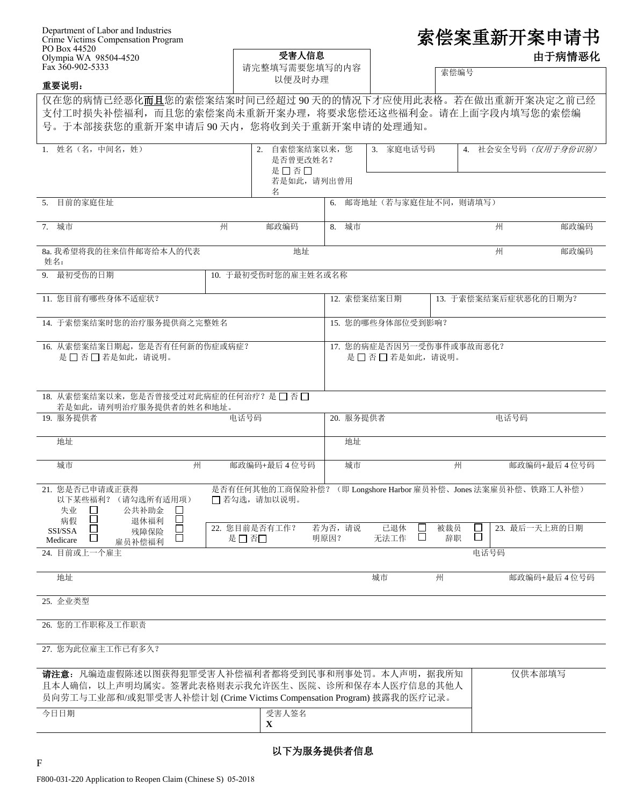| Department of Labor and Industries |
|------------------------------------|
| Crime Victims Compensation Program |
| PO Box 44520                       |
| Olympia WA 98504-4520              |
| Fax 360-902-5333                   |

 $\sqrt{2}$ 

| 索偿案重新开案申请书 |  |
|------------|--|
|            |  |

| 由于病情恶化 |  |
|--------|--|
|--------|--|

| $PU$ BOX 44320<br>Olympia WA 98504-4520<br>Fax 360-902-5333                                                                                                               | 受害人信息<br>请完整填写需要您填写的内容<br>以便及时办理                         |                |                                                | 由于病情恶化    |                                               |             |  |
|---------------------------------------------------------------------------------------------------------------------------------------------------------------------------|----------------------------------------------------------|----------------|------------------------------------------------|-----------|-----------------------------------------------|-------------|--|
| 重要说明:                                                                                                                                                                     |                                                          |                |                                                | 索偿编号      |                                               |             |  |
| 仅在您的病情已经恶化而且您的索偿案结案时间已经超过90天的的情况下才应使用此表格。若在做出重新开案决定之前已经<br>支付工时损失补偿福利,而且您的索偿案尚未重新开案办理,将要求您偿还这些福利金。请在上面字段内填写您的索偿编<br>号。于本部接获您的重新开案申请后90天内,您将收到关于重新开案申请的处理通知。               |                                                          |                |                                                |           |                                               |             |  |
| 姓名 (名, 中间名, 姓)<br>1.                                                                                                                                                      | 自索偿案结案以来, 您<br>2.<br>是否曾更改姓名?<br>是口否口<br>若是如此,请列出曾用<br>名 |                | 3. 家庭电话号码                                      |           | 4. 社会安全号码 (仅用于身份识别)                           |             |  |
| 目前的家庭住址<br>5.                                                                                                                                                             |                                                          | 6.             | 邮寄地址(若与家庭住址不同,则请填写)                            |           |                                               |             |  |
| 7. 城市<br>州                                                                                                                                                                | 邮政编码                                                     | 8. 城市          |                                                |           | 州                                             | 邮政编码        |  |
| 8a. 我希望将我的往来信件邮寄给本人的代表<br>姓名:                                                                                                                                             | 地址                                                       |                |                                                |           | 州                                             | 邮政编码        |  |
| 9. 最初受伤的日期                                                                                                                                                                | 10. 于最初受伤时您的雇主姓名或名称                                      |                |                                                |           |                                               |             |  |
| 11. 您目前有哪些身体不适症状?                                                                                                                                                         |                                                          | 12. 索偿案结案日期    |                                                |           | 13. 于索偿案结案后症状恶化的日期为?                          |             |  |
| 14. 于索偿案结案时您的治疗服务提供商之完整姓名                                                                                                                                                 |                                                          |                | 15. 您的哪些身体部位受到影响?                              |           |                                               |             |  |
| 16. 从索偿案结案日期起, 您是否有任何新的伤症或病症?<br>是 □ 否 □ 若是如此, 请说明。                                                                                                                       |                                                          |                | 17. 您的病症是否因另一受伤事件或事故而恶化?<br>是 □ 否 □ 若是如此, 请说明。 |           |                                               |             |  |
| 18. 从索偿案结案以来, 您是否曾接受过对此病症的任何治疗? 是□ 否□<br>若是如此, 请列明治疗服务提供者的姓名和地址。                                                                                                          |                                                          |                |                                                |           |                                               |             |  |
| 19. 服务提供者                                                                                                                                                                 | 电话号码                                                     | 20. 服务提供者      |                                                |           | 电话号码                                          |             |  |
| 地址                                                                                                                                                                        |                                                          | 地址             |                                                |           |                                               |             |  |
| 城市<br>州                                                                                                                                                                   | 邮政编码+最后4位号码                                              | 城市             |                                                | 州         |                                               | 邮政编码+最后4位号码 |  |
| 21. 您是否已申请或正获得<br>以下某些福利? (请勾选所有适用项)<br>失业<br>公共补助金<br>$\Box$<br>$\Box$<br>病假<br>退休福利                                                                                     | 是否有任何其他的工商保险补偿?<br>□ 若勾选, 请加以说明。                         |                |                                                |           | (即 Longshore Harbor 雇员补偿、Jones 法案雇员补偿、铁路工人补偿) |             |  |
| SSI/SSA<br>残障保险<br>$\mathsf{L}$<br>Medicare<br>雇员补偿福利<br>24. 目前或上一个雇主                                                                                                     | 22. 您目前是否有工作?<br>是□否□                                    | 若为否,请说<br>明原因? | 已退休<br>ப<br>$\Box$<br>无法工作                     | 被裁员<br>辞职 | 23. 最后一天上班的日期<br>5<br>电话号码                    |             |  |
| 地址                                                                                                                                                                        |                                                          |                | 城市                                             | 州         |                                               | 邮政编码+最后4位号码 |  |
| 25. 企业类型                                                                                                                                                                  |                                                          |                |                                                |           |                                               |             |  |
| 26. 您的工作职称及工作职责                                                                                                                                                           |                                                          |                |                                                |           |                                               |             |  |
| 27. 您为此位雇主工作已有多久?                                                                                                                                                         |                                                          |                |                                                |           |                                               |             |  |
| 请注意: 凡编造虚假陈述以图获得犯罪受害人补偿福利者都将受到民事和刑事处罚。本人声明, 据我所知<br>且本人确信,以上声明均属实。签署此表格则表示我允许医生、医院、诊所和保存本人医疗信息的其他人<br>员向劳工与工业部和/或犯罪受害人补偿计划 (Crime Victims Compensation Program) 披露我的医疗记录。 |                                                          |                |                                                |           | 仅供本部填写                                        |             |  |
| 今日日期                                                                                                                                                                      | 受害人签名<br>$\mathbf{X}$                                    |                |                                                |           |                                               |             |  |
|                                                                                                                                                                           |                                                          |                |                                                |           |                                               |             |  |